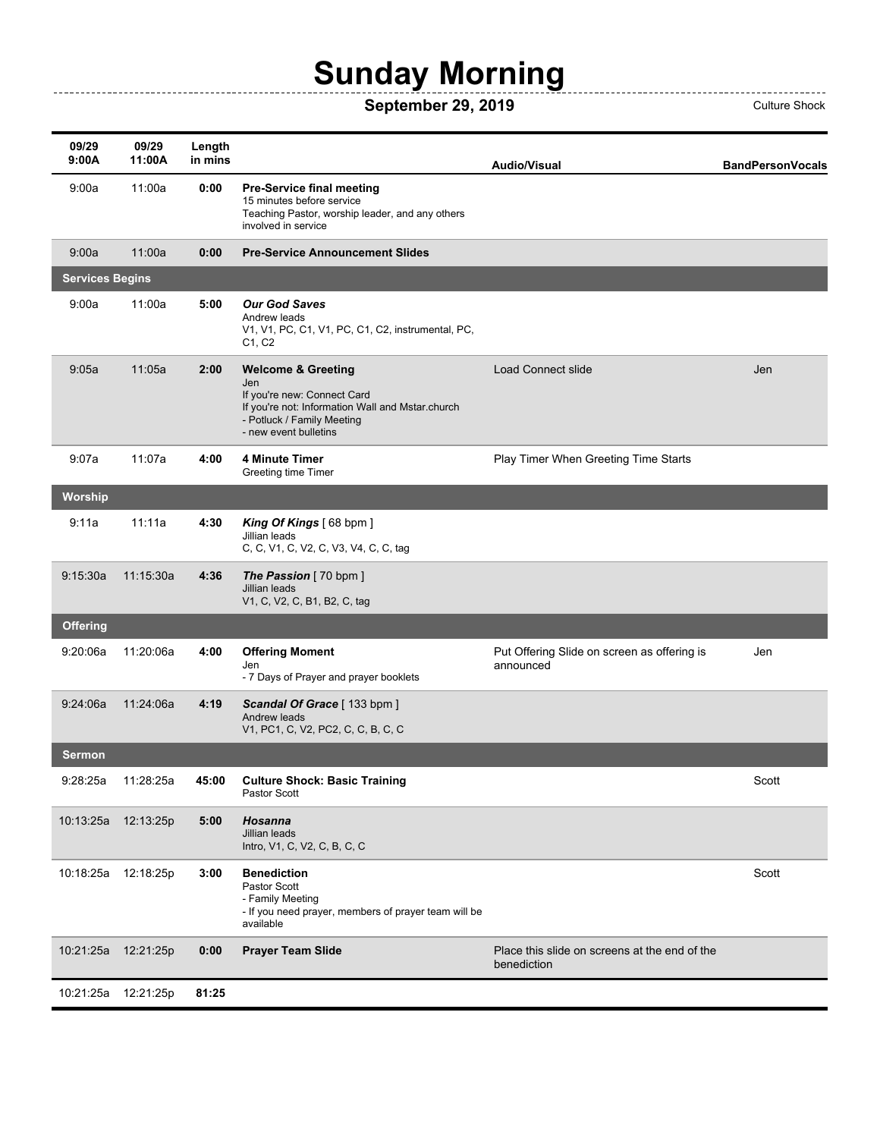## **Sunday Morning**

---------------

## **September 29, 2019** Culture Shock

| 09/29<br>9:00A         | 09/29<br>11:00A | Length<br>in mins |                                                                                                                                                                                | <b>Audio/Visual</b>                                          | <b>BandPersonVocals</b> |
|------------------------|-----------------|-------------------|--------------------------------------------------------------------------------------------------------------------------------------------------------------------------------|--------------------------------------------------------------|-------------------------|
| 9:00a                  | 11:00a          | 0:00              | <b>Pre-Service final meeting</b><br>15 minutes before service<br>Teaching Pastor, worship leader, and any others<br>involved in service                                        |                                                              |                         |
| 9:00a                  | 11:00a          | 0:00              | <b>Pre-Service Announcement Slides</b>                                                                                                                                         |                                                              |                         |
| <b>Services Begins</b> |                 |                   |                                                                                                                                                                                |                                                              |                         |
| 9:00a                  | 11:00a          | 5:00              | <b>Our God Saves</b><br>Andrew leads<br>V1, V1, PC, C1, V1, PC, C1, C2, instrumental, PC,<br>C1, C2                                                                            |                                                              |                         |
| 9:05a                  | 11:05a          | 2:00              | <b>Welcome &amp; Greeting</b><br>Jen<br>If you're new: Connect Card<br>If you're not: Information Wall and Mstar.church<br>- Potluck / Family Meeting<br>- new event bulletins | Load Connect slide                                           | Jen                     |
| 9:07a                  | 11:07a          | 4:00              | 4 Minute Timer<br>Greeting time Timer                                                                                                                                          | Play Timer When Greeting Time Starts                         |                         |
| Worship                |                 |                   |                                                                                                                                                                                |                                                              |                         |
| 9:11a                  | 11:11a          | 4:30              | King Of Kings $[68$ bpm $]$<br>Jillian leads<br>C, C, V1, C, V2, C, V3, V4, C, C, tag                                                                                          |                                                              |                         |
| 9:15:30a               | 11:15:30a       | 4:36              | The Passion [70 bpm]<br>Jillian leads<br>V1, C, V2, C, B1, B2, C, tag                                                                                                          |                                                              |                         |
| <b>Offering</b>        |                 |                   |                                                                                                                                                                                |                                                              |                         |
| 9:20:06a               | 11:20:06a       | 4:00              | <b>Offering Moment</b><br>Jen<br>- 7 Days of Prayer and prayer booklets                                                                                                        | Put Offering Slide on screen as offering is<br>announced     | Jen                     |
| 9:24:06a               | 11:24:06a       | 4:19              | Scandal Of Grace [133 bpm ]<br>Andrew leads<br>V1, PC1, C, V2, PC2, C, C, B, C, C                                                                                              |                                                              |                         |
| <b>Sermon</b>          |                 |                   |                                                                                                                                                                                |                                                              |                         |
| 9:28:25a               | 11:28:25a       | 45:00             | <b>Culture Shock: Basic Training</b><br>Pastor Scott                                                                                                                           |                                                              | Scott                   |
| 10:13:25a              | 12:13:25p       | 5:00              | Hosanna<br>Jillian leads<br>Intro, V1, C, V2, C, B, C, C                                                                                                                       |                                                              |                         |
| 10:18:25a              | 12:18:25p       | 3:00              | <b>Benediction</b><br>Pastor Scott<br>- Family Meeting<br>- If you need prayer, members of prayer team will be<br>available                                                    |                                                              | Scott                   |
| 10:21:25a              | 12:21:25p       | 0:00              | <b>Prayer Team Slide</b>                                                                                                                                                       | Place this slide on screens at the end of the<br>benediction |                         |
| 10:21:25a              | 12:21:25p       | 81:25             |                                                                                                                                                                                |                                                              |                         |